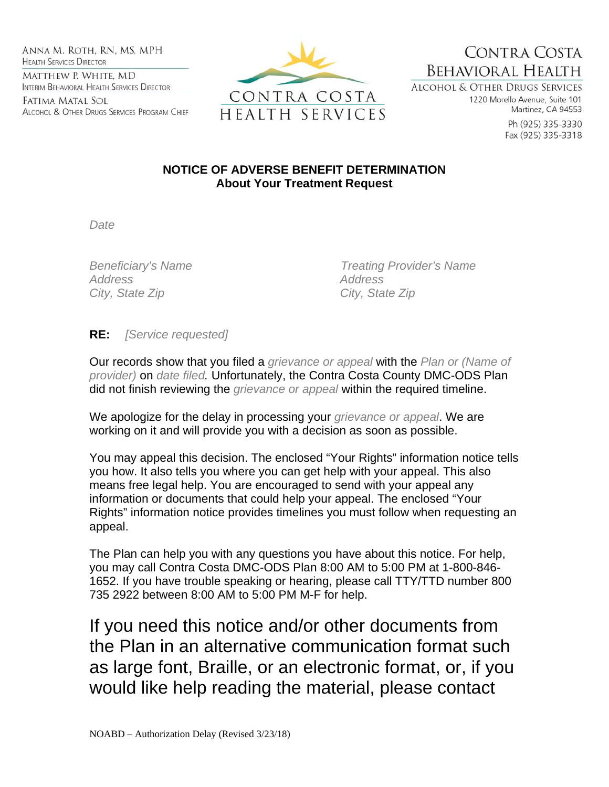Anna M. Roth, RN, MS, MPH **HEALTH SERVICES DIRECTOR** MATTHEW P. WHITE, MD INTERIM BEHAVIORAL HEALTH SERVICES DIRECTOR

Fatima Matal Sol ALCOHOL & OTHER DRUGS SERVICES PROGRAM CHIEF



CONTRA COSTA **BEHAVIORAL HEALTH** 

**ALCOHOL & OTHER DRUGS SERVICES** 1220 Morello Avenue, Suite 101 Martinez, CA 94553

> Ph (925) 335-3330 Fax (925) 335-3318

## **NOTICE OF ADVERSE BENEFIT DETERMINATION About Your Treatment Request**

*Date* 

*Address Address City, State Zip City, State Zip* 

*Beneficiary's Name Treating Provider's Name* 

## **RE:** *[Service requested]*

Our records show that you filed a *grievance or appeal* with the *Plan or (Name of provider)* on *date filed.* Unfortunately, the Contra Costa County DMC-ODS Plan did not finish reviewing the *grievance or appeal* within the required timeline.

We apologize for the delay in processing your *grievance or appeal*. We are working on it and will provide you with a decision as soon as possible.

You may appeal this decision. The enclosed "Your Rights" information notice tells you how. It also tells you where you can get help with your appeal. This also means free legal help. You are encouraged to send with your appeal any information or documents that could help your appeal. The enclosed "Your Rights" information notice provides timelines you must follow when requesting an appeal.

The Plan can help you with any questions you have about this notice. For help, you may call Contra Costa DMC-ODS Plan 8:00 AM to 5:00 PM at 1-800-846- 1652. If you have trouble speaking or hearing, please call TTY/TTD number 800 735 2922 between 8:00 AM to 5:00 PM M-F for help.

If you need this notice and/or other documents from the Plan in an alternative communication format such as large font, Braille, or an electronic format, or, if you would like help reading the material, please contact